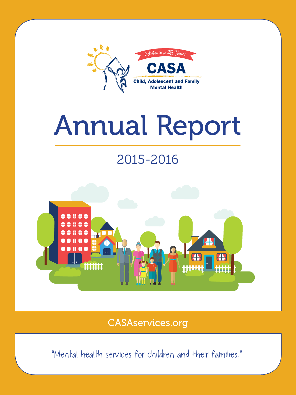

# Annual Report

# 2015-2016



CASAservices.org

"Mental health services for children and their families."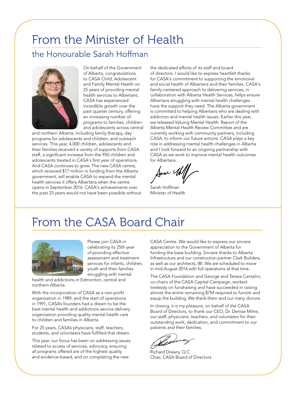### From the Minister of Health

### the Honourable Sarah Hoffman



On behalf of the Government of Alberta, congratulations to CASA Child, Adolescent and Family Mental Health on 25 years of providing mental health services to Albertans. CASA has experienced incredible growth over the past quarter century, offering an increasing number of programs to families, children and adolescents across central

and northern Alberta, including family therapy, day programs for adolescents and children, and outreach services. This year, 4,000 children, adolescents and their families received a variety of supports from CASA staff, a significant increase from the 950 children and adolescents treated in CASA's first year of operations. And CASA continues to grow. The new CASA centre, which received \$17 million in funding from the Alberta government, will enable CASA to expand the mental health services it offers Albertans when the centre opens in September 2016. CASA's achievements over the past 25 years would not have been possible without the dedicated efforts of its staff and board of directors. I would like to express heartfelt thanks for CASA's commitment to supporting the emotional and social health of Albertans and their families. CASA's family-centered approach to delivering services, in collaboration with Alberta Health Services, helps ensure Albertans struggling with mental health challenges have the support they need. The Alberta government is committed to helping Albertans who are dealing with addiction and mental health issues. Earlier this year, we released Valuing Mental Health: Report of the Alberta Mental Health Review Committee and are currently working with community partners, including CASA, to inform our future actions. CASA plays a key role in addressing mental health challenges in Alberta and I look forward to an ongoing partnership with CASA as we work to improve mental health outcomes for Albertans.

use V

Sarah Hoffman Minister of Health

## From the CASA Board Chair



Please join CASA in celebrating its 25th year of providing effective assessment and treatment services for infants, children, youth and their families struggling with mental

health and addictions in Edmonton, central and northern Alberta.

With the incorporation of CASA as a non-profit organization in 1989, and the start of operations in 1991, CASA's founders had a dream to be the best mental health and addictions service delivery organization providing quality mental health care to children and families in Alberta.

For 25 years, CASA's physicians, staff, teachers, students, and volunteers have fulfilled that dream.

This year, our focus has been on addressing issues related to access of services, advocacy, ensuring all programs offered are of the highest quality and evidence-based, and on completing the new

CASA Centre. We would like to express our sincere appreciation to the Government of Alberta for funding the base building. Sincere thanks to Alberta Infrastructure and our construction partner Clark Builders, as well as our architects, IBI. We are scheduled to move in mid-August 2016 with full operations at that time.

The CASA Foundation and George and Teresa Cantalini, co-chairs of the CASA Capital Campaign, worked tirelessly on fundraising and have succeeded in raising almost the entire remaining \$7M required to furnish and equip the building. We thank them and our many donors.

In closing, it is my pleasure, on behalf of the CASA Board of Directors, to thank our CEO, Dr. Denise Milne, our staff, physicians, teachers, and volunteers for their outstanding work, dedication, and commitment to our patients and their families.

Richard Drewry, Q.C. Chair, CASA Board of Directors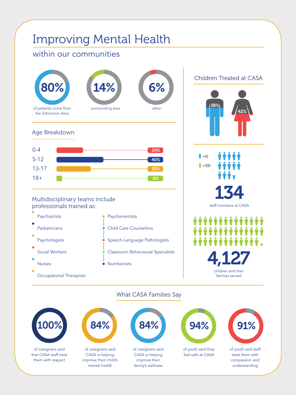# Improving Mental Health

### within our communities



of caregivers said that CASA staff treat them with respect

of caregivers said CASA is helping improve their child's mental health

of caregivers said CASA is helping improve their family's wellness of youth said they feel safe at CASA of youth said staff

42%

treat them with compassion and understanding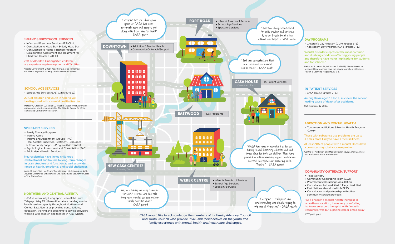#### DAY PROGRAMS

- Children's Day Program (CDP) (grades 3-6)
- Adolescent Day Program (ADP) (grades 7-12)

#### "Mental disorders represent the most common and disabling condition affecting young people and therefore have major implications for students and for schools."

#### 27% of Alberta's kindergarten children are experiencing developmental difficulties.

Meldrum, L., Venn, D., & Kutcher, S. (2009). Mental health in schools: How teachers have the power to make a difference. Health & Learning Magazine, 8, 3-5.

#### IN-PATIENT SERVICES

• CASA House (grades 7-12)

- Infant and Preschool Services (IPS) Clinic
- Consultation to Head Start & Early Head Start
- Consultation to Home Visitation Program
- Collaborative Assessment and Treatment for Children's Health (CATCH)

Among those aged 15 to 19, suicide is the second leading cause of death after accidents. Statistics Canada, 2009.

#### COMMUNITY OUTREACH/SUPPORT

- Telepsychiatry
- Community Geographic Team (CGT)
- Pharmaceutical Nursing Consultation
- Consultation to Head Start & Early Head Start
- First Nations Mental Health & FASD
- Consultation and partnership with other community service providers

"As a children's mental health therapist in a northern location, it was very comforting to know an expert therapist, with fantastic resources, was but a phone call or email away" CGT participant.

#### ADDICTION AND MENTAL HEALTH

• Concurrent Addictions & Mental Health Program (CAMP)

Those with substance use problems are up to 3 times more likely to have a mental illness,

At least 20% of people with a mental illness have a co-occurring substance use problem.



Centre for Addiction and Mental Health. (2012). *Mental illness and addictions: Facts and statistics.*

Alberta Government (2013). *Together we raise tomorrow: An Alberta approach to early childhood development*.

#### INFANT & PRESCHOOL SERVICES

#### NORTHERN AND CENTRAL ALBERTA

CASA's Community Geographic Team (CGT) and Telepsychiatry (Northern Alberta) are building mental health service capacity throughout Northern and Central East Alberta by providing consultations, education, training and coaching to service providers working with children and families in rural Alberta.

#### SPECIALTY SERVICES

- Family Therapy Program
- Trauma Clinic
- Trauma and Attachment Groups (TAG)
- Fetal Alcohol Spectrum Treatment, Resources
- & Community Supports Program (FAS TRACS)
- Psychological Assessment and Consultation (PAC)
- Adult Mental Health Services

Neuroscientists have linked childhood maltreatment and trauma to long-term changes in brain structure and function as well as a wide range of health, emotional, and social challenges.

Anda, R. (n.d). *The Health and Social Impact of Growing Up With Adverse Childhood Experiences The Human and Economic Costs of the Status Quo.*

#### SCHOOL AGE SERVICES

• School Age Services (SAS) Clinic (K to 12)

20% of children and youth in Alberta will be diagnosed with a mental health disorder.

Metcalf A, Crockett C, Salegio J, Tough S (2011). *What Albertans know about youth mental health.* The Alberta Centre for Child, Family and Community Research.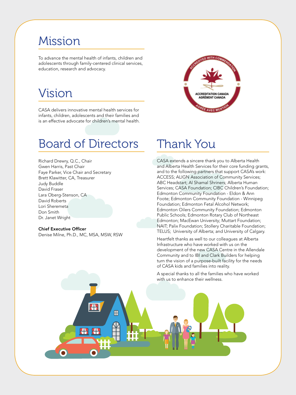## Mission

To advance the mental health of infants, children and adolescents through family-centered clinical services, education, research and advocacy.

### Vision

CASA delivers innovative mental health services for infants, children, adolescents and their families and is an effective advocate for children's mental health.

### Board of Directors

Richard Drewry, Q.C., Chair Gwen Harris, Past Chair Faye Parker, Vice Chair and Secretary Brett Klawitter, CA, Treasurer Judy Buddle David Fraser Lara Oberg-Stenson, CA David Roberts Lori Sheremeta Don Smith Dr. Janet Wright

#### Chief Executive Officer

Denise Milne, Ph.D., MC, MSA, MSW, RSW

49 F.

 $\overline{\mathsf{H}}$ 

66.



### Thank You

CASA extends a sincere thank you to Alberta Health and Alberta Health Services for their core funding grants, and to the following partners that support CASA's work: ACCESS; ALIGN Association of Community Services; ABC Headstart; Al Shamal Shriners; Alberta Human Services; CASA Foundation; CIBC Children's Foundation; Edmonton Community Foundation - Eldon & Ann Foote; Edmonton Community Foundation - Winnipeg Foundation; Edmonton Fetal Alcohol Network; Edmonton Oilers Community Foundation; Edmonton Public Schools; Edmonton Rotary Club of Northeast Edmonton; MacEwan University; Muttart Foundation; NAIT; Palix Foundation; Stollery Charitable Foundation; TELUS; University of Alberta; and University of Calgary.

Heartfelt thanks as well to our colleagues at Alberta Infrastructure who have worked with us on the development of the new CASA Centre in the Allendale Community and to IBI and Clark Builders for helping turn the vision of a purpose-built facility for the needs of CASA kids and families into reality.

A special thanks to all the families who have worked with us to enhance their wellness.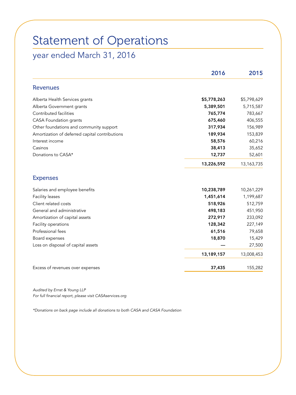## Statement of Operations year ended March 31, 2016

|                                                | 2016        | 2015        |
|------------------------------------------------|-------------|-------------|
| <b>Revenues</b>                                |             |             |
| Alberta Health Services grants                 | \$5,778,263 | \$5,798,629 |
| Alberta Government grants                      | 5,389,501   | 5,715,587   |
| Contributed facilities                         | 765,774     | 783,667     |
| <b>CASA Foundation grants</b>                  | 675,460     | 406,555     |
| Other foundations and community support        | 317,934     | 156,989     |
| Amortization of deferred capital contributions | 189,934     | 153,839     |
| Interest income                                | 58,576      | 60,216      |
| Casinos                                        | 38,413      | 35,652      |
| Donations to CASA*                             | 12,737      | 52,601      |
|                                                | 13,226,592  | 13,163,735  |
| <b>Expenses</b>                                |             |             |
| Salaries and employee benefits                 | 10,238,789  | 10,261,229  |
| <b>Facility leases</b>                         | 1,451,614   | 1,199,687   |
| Client related costs                           | 518,926     | 512,759     |
| General and administrative                     | 498,183     | 451,950     |
| Amortization of capital assets                 | 272,917     | 233,092     |
| Facility operations                            | 128,342     | 227,149     |
| Professional fees                              | 61,516      | 79,658      |
| Board expenses                                 | 18,870      | 15,429      |
| Loss on disposal of capital assets             |             | 27,500      |
|                                                | 13,189,157  | 13,008,453  |
| Excess of revenues over expenses               | 37,435      | 155,282     |

*Audited by Ernst & Young LLP For full financial report, please visit CASAservices.org*

*\*Donations on back page include all donations to both CASA and CASA Foundation*